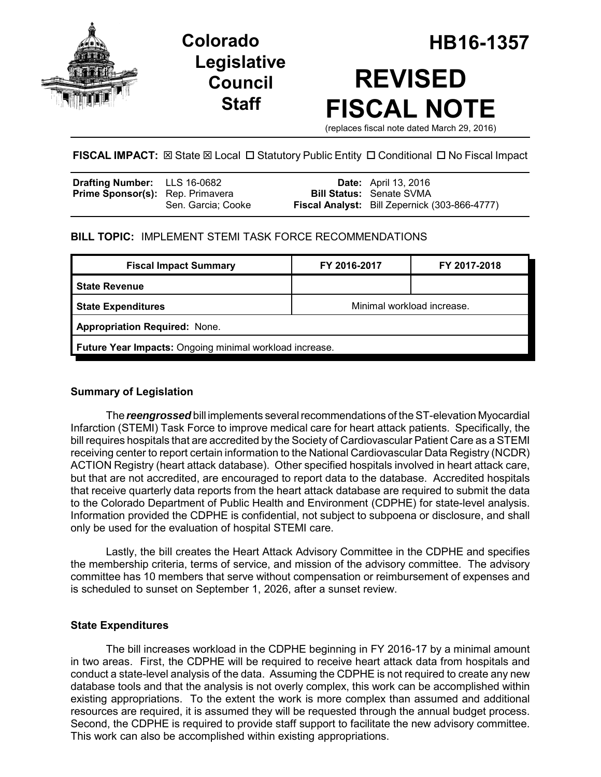



# **Colorado HB16-1357 REVISED FISCAL NOTE**

(replaces fiscal note dated March 29, 2016)

## **FISCAL IMPACT:**  $\boxtimes$  **State**  $\boxtimes$  **Local □ Statutory Public Entity □ Conditional □ No Fiscal Impact**

| <b>Drafting Number:</b> LLS 16-0682     |                    | <b>Date:</b> April 13, 2016                          |
|-----------------------------------------|--------------------|------------------------------------------------------|
| <b>Prime Sponsor(s):</b> Rep. Primavera |                    | <b>Bill Status: Senate SVMA</b>                      |
|                                         | Sen. Garcia: Cooke | <b>Fiscal Analyst:</b> Bill Zepernick (303-866-4777) |

## **BILL TOPIC:** IMPLEMENT STEMI TASK FORCE RECOMMENDATIONS

| <b>Fiscal Impact Summary</b>                            | FY 2016-2017               | FY 2017-2018 |  |  |  |
|---------------------------------------------------------|----------------------------|--------------|--|--|--|
| <b>State Revenue</b>                                    |                            |              |  |  |  |
| <b>State Expenditures</b>                               | Minimal workload increase. |              |  |  |  |
| <b>Appropriation Required: None.</b>                    |                            |              |  |  |  |
| Future Year Impacts: Ongoing minimal workload increase. |                            |              |  |  |  |
|                                                         |                            |              |  |  |  |

## **Summary of Legislation**

The *reengrossed* bill implements several recommendations of the ST-elevation Myocardial Infarction (STEMI) Task Force to improve medical care for heart attack patients. Specifically, the bill requires hospitals that are accredited by the Society of Cardiovascular Patient Care as a STEMI receiving center to report certain information to the National Cardiovascular Data Registry (NCDR) ACTION Registry (heart attack database). Other specified hospitals involved in heart attack care, but that are not accredited, are encouraged to report data to the database. Accredited hospitals that receive quarterly data reports from the heart attack database are required to submit the data to the Colorado Department of Public Health and Environment (CDPHE) for state-level analysis. Information provided the CDPHE is confidential, not subject to subpoena or disclosure, and shall only be used for the evaluation of hospital STEMI care.

Lastly, the bill creates the Heart Attack Advisory Committee in the CDPHE and specifies the membership criteria, terms of service, and mission of the advisory committee. The advisory committee has 10 members that serve without compensation or reimbursement of expenses and is scheduled to sunset on September 1, 2026, after a sunset review.

## **State Expenditures**

The bill increases workload in the CDPHE beginning in FY 2016-17 by a minimal amount in two areas. First, the CDPHE will be required to receive heart attack data from hospitals and conduct a state-level analysis of the data. Assuming the CDPHE is not required to create any new database tools and that the analysis is not overly complex, this work can be accomplished within existing appropriations. To the extent the work is more complex than assumed and additional resources are required, it is assumed they will be requested through the annual budget process. Second, the CDPHE is required to provide staff support to facilitate the new advisory committee. This work can also be accomplished within existing appropriations.